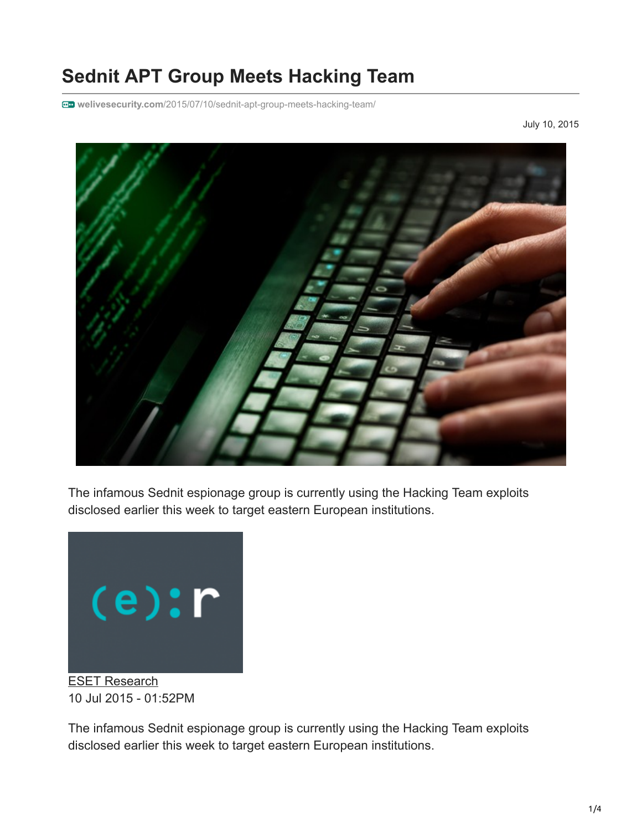## **Sednit APT Group Meets Hacking Team**

**welivesecurity.com**[/2015/07/10/sednit-apt-group-meets-hacking-team/](http://www.welivesecurity.com/2015/07/10/sednit-apt-group-meets-hacking-team/)

July 10, 2015



The infamous Sednit espionage group is currently using the Hacking Team exploits disclosed earlier this week to target eastern European institutions.



[ESET Research](https://www.welivesecurity.com/author/esetresearch/) 10 Jul 2015 - 01:52PM

The infamous Sednit espionage group is currently using the Hacking Team exploits disclosed earlier this week to target eastern European institutions.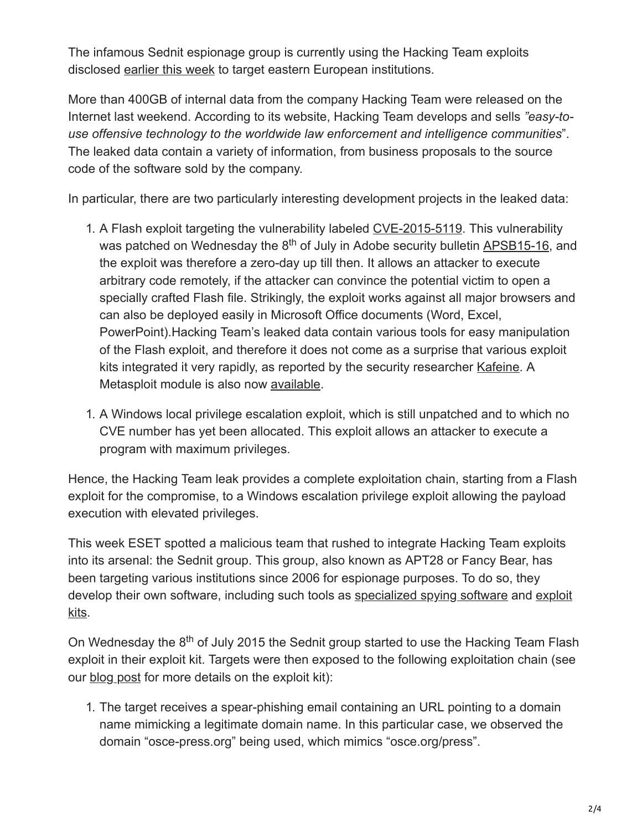The infamous Sednit espionage group is currently using the Hacking Team exploits disclosed [earlier this week](http://www.welivesecurity.com/2015/07/06/400gb-info-leaked-hacking-team/) to target eastern European institutions.

More than 400GB of internal data from the company Hacking Team were released on the Internet last weekend. According to its website, Hacking Team develops and sells *"easy-touse offensive technology to the worldwide law enforcement and intelligence communities*". The leaked data contain a variety of information, from business proposals to the source code of the software sold by the company.

In particular, there are two particularly interesting development projects in the leaked data:

- 1. A Flash exploit targeting the vulnerability labeled [CVE-2015-5119.](https://web.nvd.nist.gov/view/vuln/detail?vulnId=CVE-2015-5119) This vulnerability was patched on Wednesday the 8<sup>th</sup> of July in Adobe security bulletin <u>APSB15-16</u>, and the exploit was therefore a zero-day up till then. It allows an attacker to execute arbitrary code remotely, if the attacker can convince the potential victim to open a specially crafted Flash file. Strikingly, the exploit works against all major browsers and can also be deployed easily in Microsoft Office documents (Word, Excel, PowerPoint).Hacking Team's leaked data contain various tools for easy manipulation of the Flash exploit, and therefore it does not come as a surprise that various exploit kits integrated it very rapidly, as reported by the security researcher [Kafeine.](http://malware.dontneedcoffee.com/2015/07/hackingteam-flash-0d-cve-2015-xxxx-and.html) A Metasploit module is also now [available.](http://www.rapid7.com/db/modules/exploit/multi/browser/adobe_flash_hacking_team_uaf)
- 1. A Windows local privilege escalation exploit, which is still unpatched and to which no CVE number has yet been allocated. This exploit allows an attacker to execute a program with maximum privileges.

Hence, the Hacking Team leak provides a complete exploitation chain, starting from a Flash exploit for the compromise, to a Windows escalation privilege exploit allowing the payload execution with elevated privileges.

This week ESET spotted a malicious team that rushed to integrate Hacking Team exploits into its arsenal: the Sednit group. This group, also known as APT28 or Fancy Bear, has been targeting various institutions since 2006 for espionage purposes. To do so, they [develop their own software, including such tools as](http://www.welivesecurity.com/2014/10/08/sednit-espionage-group-now-using-custom-exploit-kit/) [specialized spying softwar](http://www.welivesecurity.com/2014/11/11/sednit-espionage-group-attacking-air-gapped-networks/)[e and exploit](http://www.welivesecurity.com/2014/10/08/sednit-espionage-group-now-using-custom-exploit-kit/) kits.

On Wednesday the 8<sup>th</sup> of July 2015 the Sednit group started to use the Hacking Team Flash exploit in their exploit kit. Targets were then exposed to the following exploitation chain (see our [blog post](http://www.welivesecurity.com/2014/10/08/sednit-espionage-group-now-using-custom-exploit-kit/) for more details on the exploit kit):

1. The target receives a spear-phishing email containing an URL pointing to a domain name mimicking a legitimate domain name. In this particular case, we observed the domain "osce-press.org" being used, which mimics "osce.org/press".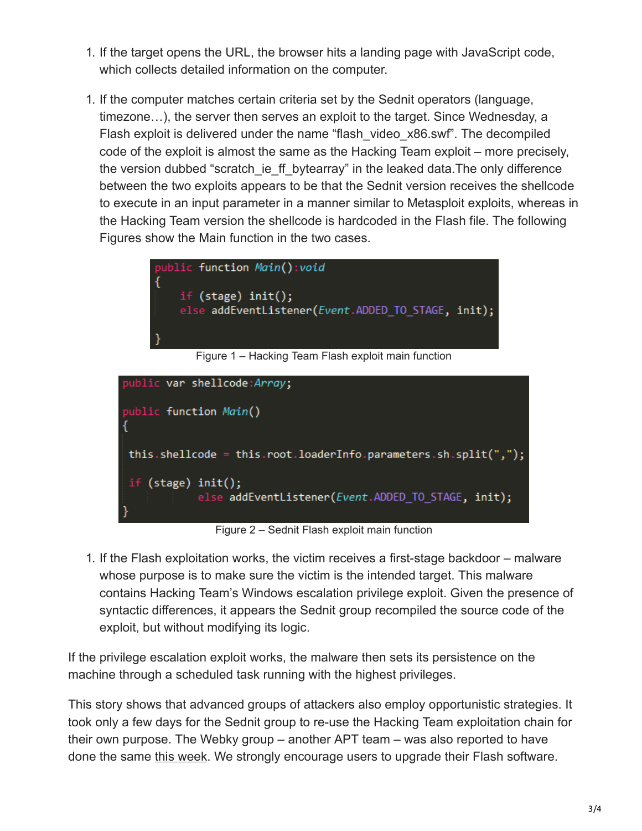- 1. If the target opens the URL, the browser hits a landing page with JavaScript code, which collects detailed information on the computer.
- 1. If the computer matches certain criteria set by the Sednit operators (language, timezone…), the server then serves an exploit to the target. Since Wednesday, a Flash exploit is delivered under the name "flash\_video\_x86.swf". The decompiled code of the exploit is almost the same as the Hacking Team exploit – more precisely, the version dubbed "scratch ie ff bytearray" in the leaked data. The only difference between the two exploits appears to be that the Sednit version receives the shellcode to execute in an input parameter in a manner similar to Metasploit exploits, whereas in the Hacking Team version the shellcode is hardcoded in the Flash file. The following Figures show the Main function in the two cases.



Figure 1 – Hacking Team Flash exploit main function



Figure 2 – Sednit Flash exploit main function

1. If the Flash exploitation works, the victim receives a first-stage backdoor – malware whose purpose is to make sure the victim is the intended target. This malware contains Hacking Team's Windows escalation privilege exploit. Given the presence of syntactic differences, it appears the Sednit group recompiled the source code of the exploit, but without modifying its logic.

If the privilege escalation exploit works, the malware then sets its persistence on the machine through a scheduled task running with the highest privileges.

This story shows that advanced groups of attackers also employ opportunistic strategies. It took only a few days for the Sednit group to re-use the Hacking Team exploitation chain for their own purpose. The Webky group – another APT team – was also reported to have done the same [this week.](http://www.volexity.com/blog/?p=158) We strongly encourage users to upgrade their Flash software.